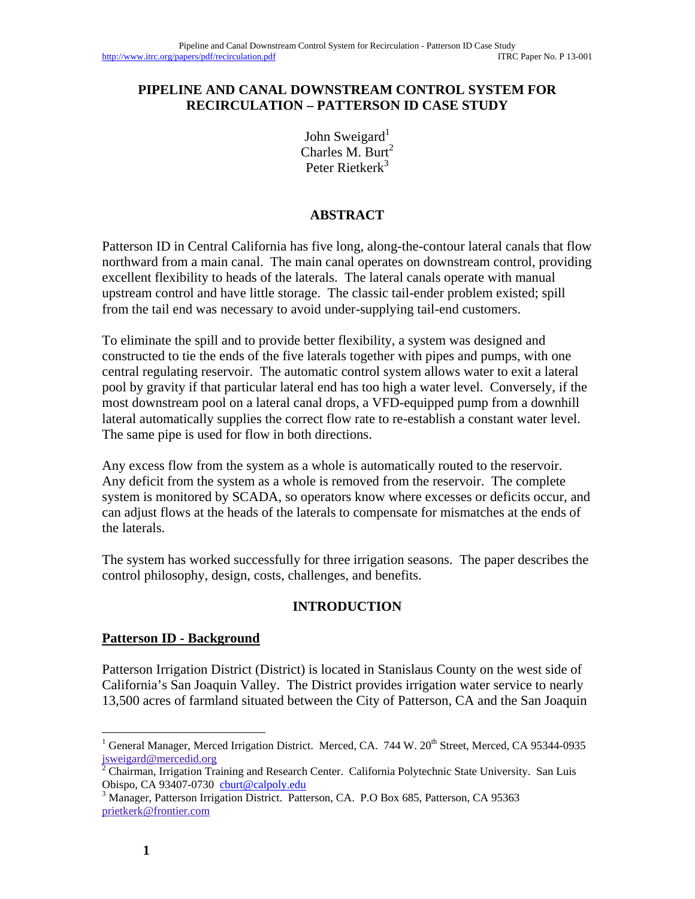#### **PIPELINE AND CANAL DOWNSTREAM CONTROL SYSTEM FOR RECIRCULATION – PATTERSON ID CASE STUDY**

John Sweigard<sup>1</sup> Charles M. Burt<sup>2</sup> Peter Rietkerk<sup>3</sup>

### **ABSTRACT**

Patterson ID in Central California has five long, along-the-contour lateral canals that flow northward from a main canal. The main canal operates on downstream control, providing excellent flexibility to heads of the laterals. The lateral canals operate with manual upstream control and have little storage. The classic tail-ender problem existed; spill from the tail end was necessary to avoid under-supplying tail-end customers.

To eliminate the spill and to provide better flexibility, a system was designed and constructed to tie the ends of the five laterals together with pipes and pumps, with one central regulating reservoir. The automatic control system allows water to exit a lateral pool by gravity if that particular lateral end has too high a water level. Conversely, if the most downstream pool on a lateral canal drops, a VFD-equipped pump from a downhill lateral automatically supplies the correct flow rate to re-establish a constant water level. The same pipe is used for flow in both directions.

Any excess flow from the system as a whole is automatically routed to the reservoir. Any deficit from the system as a whole is removed from the reservoir. The complete system is monitored by SCADA, so operators know where excesses or deficits occur, and can adjust flows at the heads of the laterals to compensate for mismatches at the ends of the laterals.

The system has worked successfully for three irrigation seasons. The paper describes the control philosophy, design, costs, challenges, and benefits.

### **INTRODUCTION**

#### **Patterson ID - Background**

Patterson Irrigation District (District) is located in Stanislaus County on the west side of California's San Joaquin Valley. The District provides irrigation water service to nearly 13,500 acres of farmland situated between the City of Patterson, CA and the San Joaquin

1

<sup>&</sup>lt;sup>1</sup> General Manager, Merced Irrigation District. Merced, CA. 744 W. 20<sup>th</sup> Street, Merced, CA 95344-0935 jsweigard@mercedid.org 2

Chairman, Irrigation Training and Research Center. California Polytechnic State University. San Luis Obispo, CA 93407-0730 cburt@calpoly.edu 3

<sup>&</sup>lt;sup>3</sup> Manager, Patterson Irrigation District. Patterson, CA. P.O Box 685, Patterson, CA 95363 prietkerk@frontier.com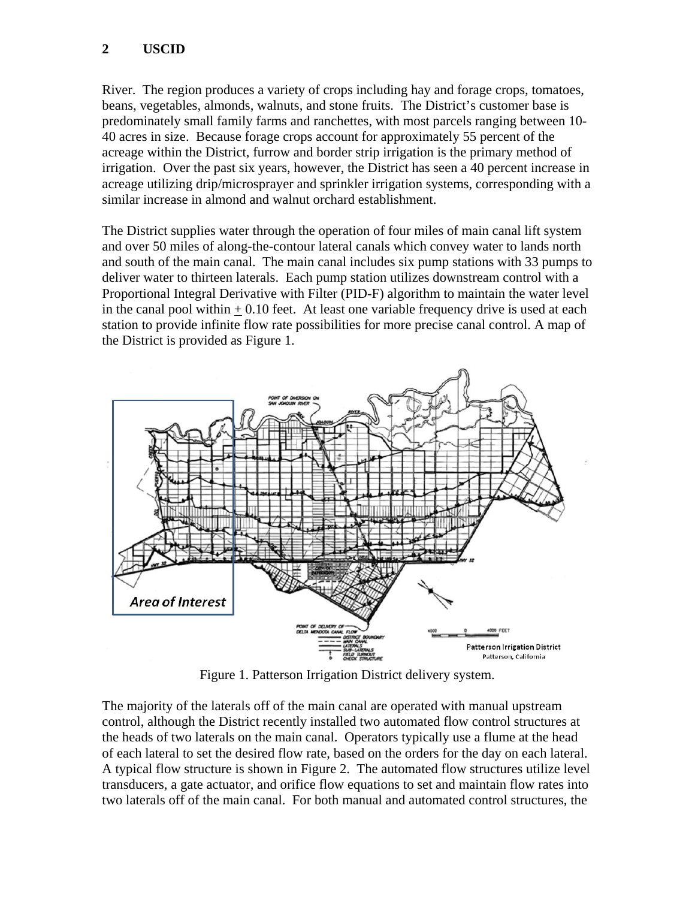### **2 USCID**

River. The region produces a variety of crops including hay and forage crops, tomatoes, beans, vegetables, almonds, walnuts, and stone fruits. The District's customer base is predominately small family farms and ranchettes, with most parcels ranging between 10- 40 acres in size. Because forage crops account for approximately 55 percent of the acreage within the District, furrow and border strip irrigation is the primary method of irrigation. Over the past six years, however, the District has seen a 40 percent increase in acreage utilizing drip/microsprayer and sprinkler irrigation systems, corresponding with a similar increase in almond and walnut orchard establishment.

The District supplies water through the operation of four miles of main canal lift system and over 50 miles of along-the-contour lateral canals which convey water to lands north and south of the main canal. The main canal includes six pump stations with 33 pumps to deliver water to thirteen laterals. Each pump station utilizes downstream control with a Proportional Integral Derivative with Filter (PID-F) algorithm to maintain the water level in the canal pool within  $+0.10$  feet. At least one variable frequency drive is used at each station to provide infinite flow rate possibilities for more precise canal control. A map of the District is provided as Figure 1.



Figure 1. Patterson Irrigation District delivery system.

The majority of the laterals off of the main canal are operated with manual upstream control, although the District recently installed two automated flow control structures at the heads of two laterals on the main canal. Operators typically use a flume at the head of each lateral to set the desired flow rate, based on the orders for the day on each lateral. A typical flow structure is shown in Figure 2. The automated flow structures utilize level transducers, a gate actuator, and orifice flow equations to set and maintain flow rates into two laterals off of the main canal. For both manual and automated control structures, the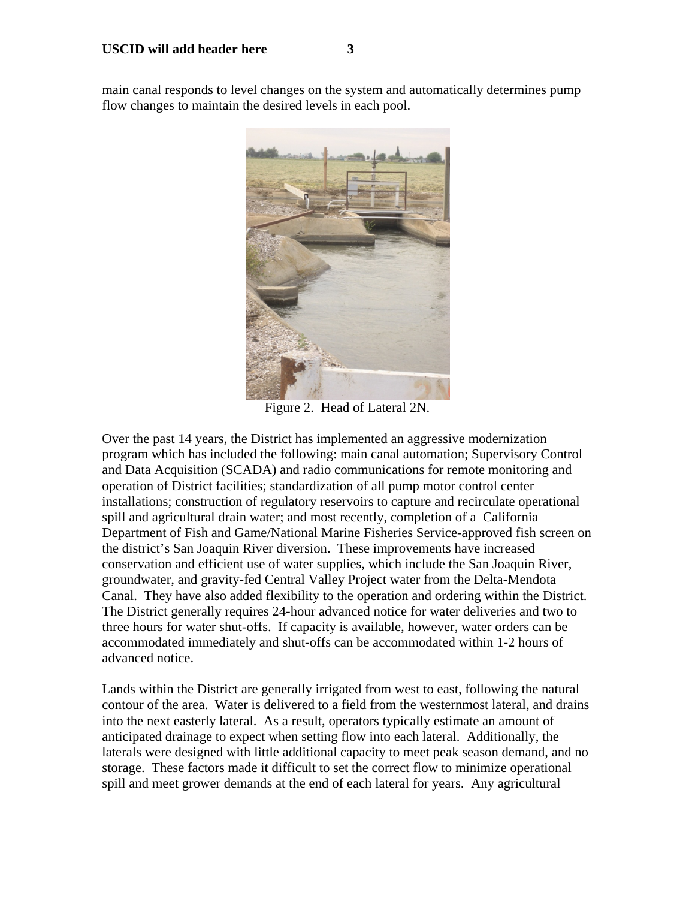main canal responds to level changes on the system and automatically determines pump flow changes to maintain the desired levels in each pool.



Figure 2. Head of Lateral 2N.

Over the past 14 years, the District has implemented an aggressive modernization program which has included the following: main canal automation; Supervisory Control and Data Acquisition (SCADA) and radio communications for remote monitoring and operation of District facilities; standardization of all pump motor control center installations; construction of regulatory reservoirs to capture and recirculate operational spill and agricultural drain water; and most recently, completion of a California Department of Fish and Game/National Marine Fisheries Service-approved fish screen on the district's San Joaquin River diversion. These improvements have increased conservation and efficient use of water supplies, which include the San Joaquin River, groundwater, and gravity-fed Central Valley Project water from the Delta-Mendota Canal. They have also added flexibility to the operation and ordering within the District. The District generally requires 24-hour advanced notice for water deliveries and two to three hours for water shut-offs. If capacity is available, however, water orders can be accommodated immediately and shut-offs can be accommodated within 1-2 hours of advanced notice.

Lands within the District are generally irrigated from west to east, following the natural contour of the area. Water is delivered to a field from the westernmost lateral, and drains into the next easterly lateral. As a result, operators typically estimate an amount of anticipated drainage to expect when setting flow into each lateral. Additionally, the laterals were designed with little additional capacity to meet peak season demand, and no storage. These factors made it difficult to set the correct flow to minimize operational spill and meet grower demands at the end of each lateral for years. Any agricultural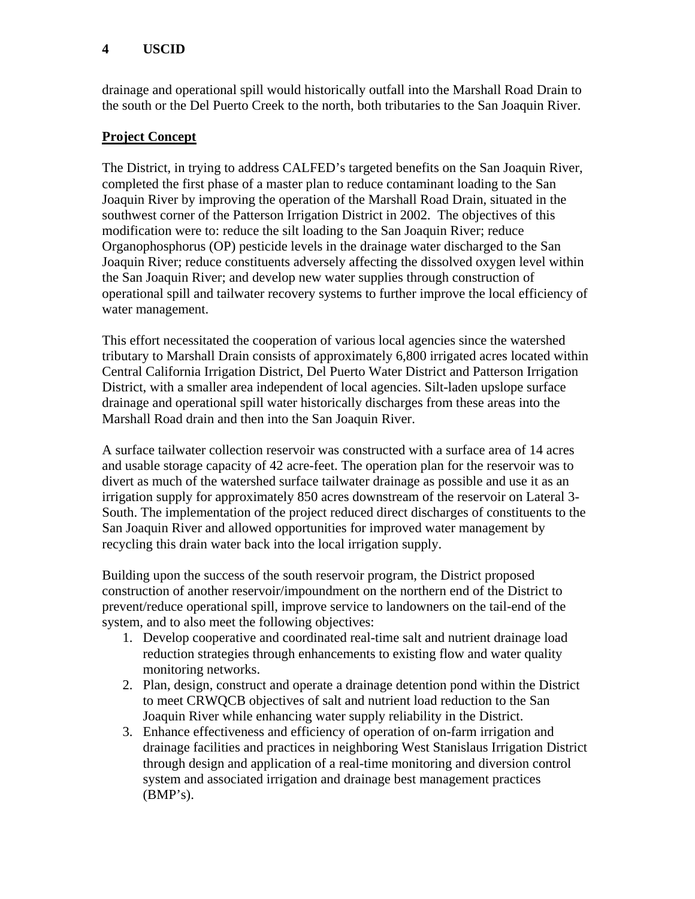### **4 USCID**

drainage and operational spill would historically outfall into the Marshall Road Drain to the south or the Del Puerto Creek to the north, both tributaries to the San Joaquin River.

## **Project Concept**

The District, in trying to address CALFED's targeted benefits on the San Joaquin River, completed the first phase of a master plan to reduce contaminant loading to the San Joaquin River by improving the operation of the Marshall Road Drain, situated in the southwest corner of the Patterson Irrigation District in 2002. The objectives of this modification were to: reduce the silt loading to the San Joaquin River; reduce Organophosphorus (OP) pesticide levels in the drainage water discharged to the San Joaquin River; reduce constituents adversely affecting the dissolved oxygen level within the San Joaquin River; and develop new water supplies through construction of operational spill and tailwater recovery systems to further improve the local efficiency of water management.

This effort necessitated the cooperation of various local agencies since the watershed tributary to Marshall Drain consists of approximately 6,800 irrigated acres located within Central California Irrigation District, Del Puerto Water District and Patterson Irrigation District, with a smaller area independent of local agencies. Silt-laden upslope surface drainage and operational spill water historically discharges from these areas into the Marshall Road drain and then into the San Joaquin River.

A surface tailwater collection reservoir was constructed with a surface area of 14 acres and usable storage capacity of 42 acre-feet. The operation plan for the reservoir was to divert as much of the watershed surface tailwater drainage as possible and use it as an irrigation supply for approximately 850 acres downstream of the reservoir on Lateral 3- South. The implementation of the project reduced direct discharges of constituents to the San Joaquin River and allowed opportunities for improved water management by recycling this drain water back into the local irrigation supply.

Building upon the success of the south reservoir program, the District proposed construction of another reservoir/impoundment on the northern end of the District to prevent/reduce operational spill, improve service to landowners on the tail-end of the system, and to also meet the following objectives:

- 1. Develop cooperative and coordinated real-time salt and nutrient drainage load reduction strategies through enhancements to existing flow and water quality monitoring networks.
- 2. Plan, design, construct and operate a drainage detention pond within the District to meet CRWQCB objectives of salt and nutrient load reduction to the San Joaquin River while enhancing water supply reliability in the District.
- 3. Enhance effectiveness and efficiency of operation of on-farm irrigation and drainage facilities and practices in neighboring West Stanislaus Irrigation District through design and application of a real-time monitoring and diversion control system and associated irrigation and drainage best management practices  $(BMP's)$ .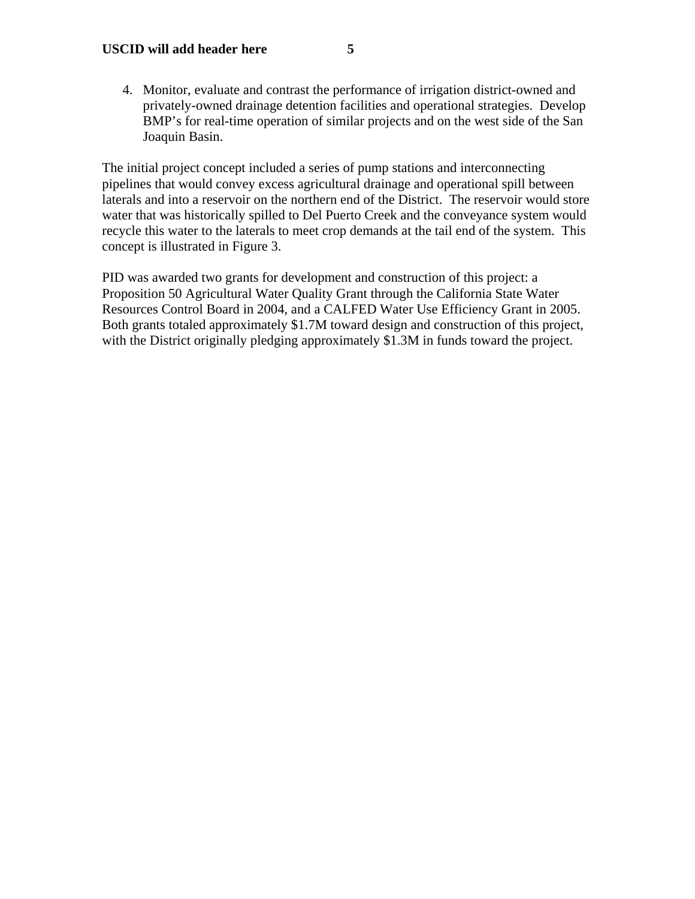Joaquin Basin.

The initial project concept included a series of pump stations and interconnecting pipelines that would convey excess agricultural drainage and operational spill between laterals and into a reservoir on the northern end of the District. The reservoir would store water that was historically spilled to Del Puerto Creek and the conveyance system would recycle this water to the laterals to meet crop demands at the tail end of the system. This concept is illustrated in Figure 3.

PID was awarded two grants for development and construction of this project: a Proposition 50 Agricultural Water Quality Grant through the California State Water Resources Control Board in 2004, and a CALFED Water Use Efficiency Grant in 2005. Both grants totaled approximately \$1.7M toward design and construction of this project, with the District originally pledging approximately \$1.3M in funds toward the project.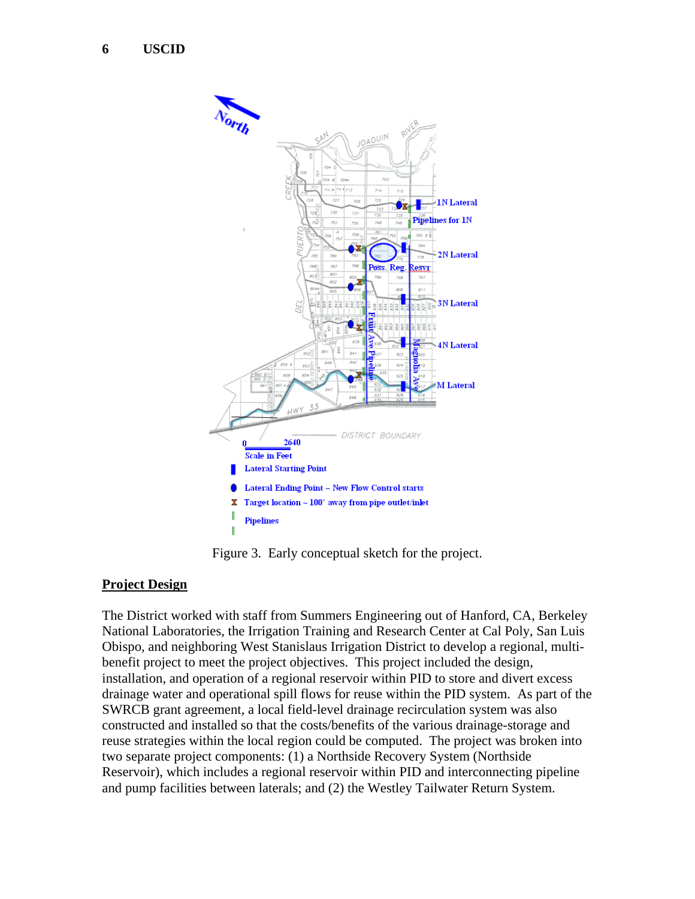

Figure 3. Early conceptual sketch for the project.

### **Project Design**

The District worked with staff from Summers Engineering out of Hanford, CA, Berkeley National Laboratories, the Irrigation Training and Research Center at Cal Poly, San Luis Obispo, and neighboring West Stanislaus Irrigation District to develop a regional, multibenefit project to meet the project objectives. This project included the design, installation, and operation of a regional reservoir within PID to store and divert excess drainage water and operational spill flows for reuse within the PID system. As part of the SWRCB grant agreement, a local field-level drainage recirculation system was also constructed and installed so that the costs/benefits of the various drainage-storage and reuse strategies within the local region could be computed. The project was broken into two separate project components: (1) a Northside Recovery System (Northside Reservoir), which includes a regional reservoir within PID and interconnecting pipeline and pump facilities between laterals; and (2) the Westley Tailwater Return System.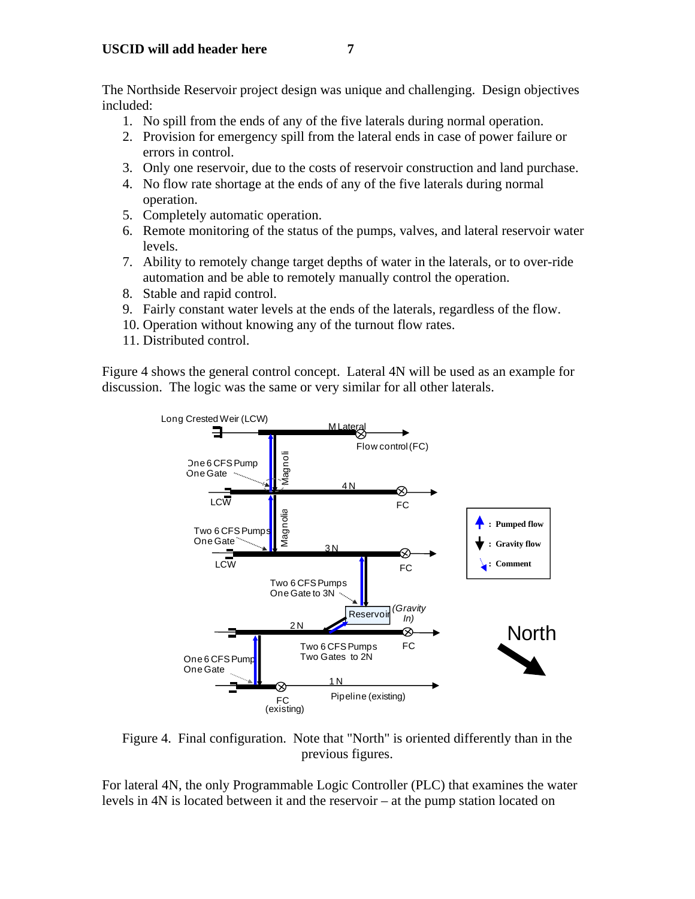The Northside Reservoir project design was unique and challenging. Design objectives included:

- 1. No spill from the ends of any of the five laterals during normal operation.
- 2. Provision for emergency spill from the lateral ends in case of power failure or errors in control.
- 3. Only one reservoir, due to the costs of reservoir construction and land purchase.
- 4. No flow rate shortage at the ends of any of the five laterals during normal operation.
- 5. Completely automatic operation.
- 6. Remote monitoring of the status of the pumps, valves, and lateral reservoir water levels.
- 7. Ability to remotely change target depths of water in the laterals, or to over-ride automation and be able to remotely manually control the operation.
- 8. Stable and rapid control.
- 9. Fairly constant water levels at the ends of the laterals, regardless of the flow.
- 10. Operation without knowing any of the turnout flow rates.
- 11. Distributed control.

Figure 4 shows the general control concept. Lateral 4N will be used as an example for discussion. The logic was the same or very similar for all other laterals.



Figure 4. Final configuration. Note that "North" is oriented differently than in the previous figures.

For lateral 4N, the only Programmable Logic Controller (PLC) that examines the water levels in 4N is located between it and the reservoir – at the pump station located on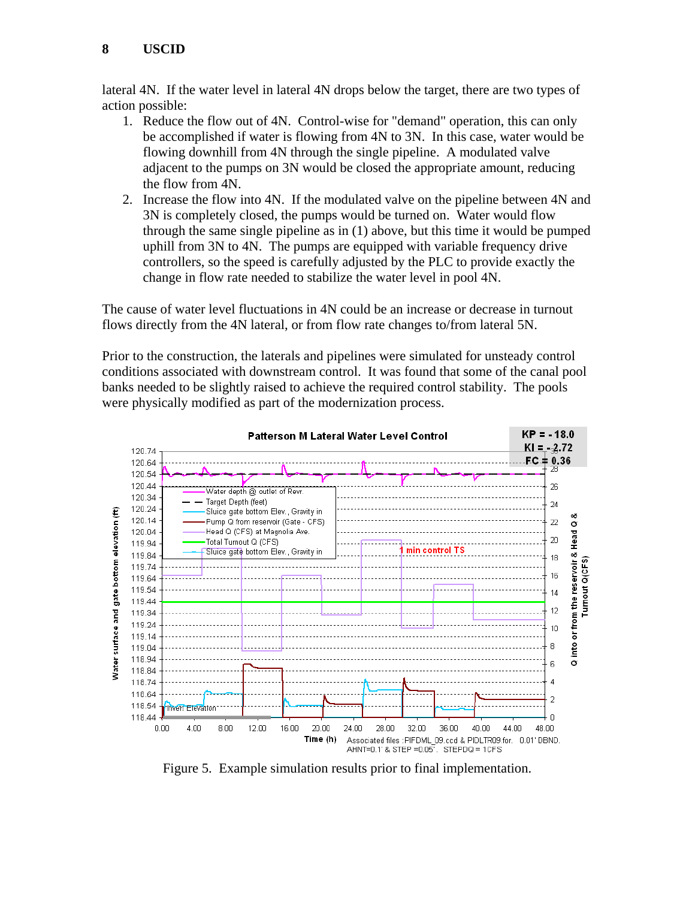lateral 4N. If the water level in lateral 4N drops below the target, there are two types of action possible:

- 1. Reduce the flow out of 4N. Control-wise for "demand" operation, this can only be accomplished if water is flowing from 4N to 3N. In this case, water would be flowing downhill from 4N through the single pipeline. A modulated valve adjacent to the pumps on 3N would be closed the appropriate amount, reducing the flow from 4N.
- 2. Increase the flow into 4N. If the modulated valve on the pipeline between 4N and 3N is completely closed, the pumps would be turned on. Water would flow through the same single pipeline as in (1) above, but this time it would be pumped uphill from 3N to 4N. The pumps are equipped with variable frequency drive controllers, so the speed is carefully adjusted by the PLC to provide exactly the change in flow rate needed to stabilize the water level in pool 4N.

The cause of water level fluctuations in 4N could be an increase or decrease in turnout flows directly from the 4N lateral, or from flow rate changes to/from lateral 5N.

Prior to the construction, the laterals and pipelines were simulated for unsteady control conditions associated with downstream control. It was found that some of the canal pool banks needed to be slightly raised to achieve the required control stability. The pools were physically modified as part of the modernization process.



Figure 5. Example simulation results prior to final implementation.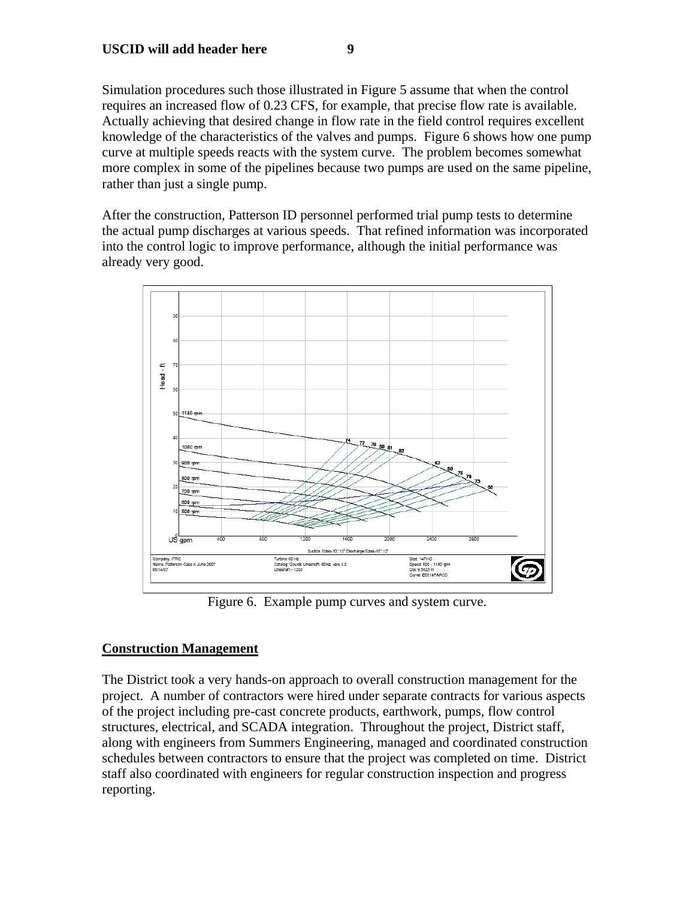Simulation procedures such those illustrated in Figure 5 assume that when the control requires an increased flow of 0.23 CFS, for example, that precise flow rate is available. Actually achieving that desired change in flow rate in the field control requires excellent knowledge of the characteristics of the valves and pumps. Figure 6 shows how one pump curve at multiple speeds reacts with the system curve. The problem becomes somewhat more complex in some of the pipelines because two pumps are used on the same pipeline, rather than just a single pump.

After the construction, Patterson ID personnel performed trial pump tests to determine the actual pump discharges at various speeds. That refined information was incorporated into the control logic to improve performance, although the initial performance was already very good.



Figure 6. Example pump curves and system curve.

# **Construction Management**

The District took a very hands-on approach to overall construction management for the project. A number of contractors were hired under separate contracts for various aspects of the project including pre-cast concrete products, earthwork, pumps, flow control structures, electrical, and SCADA integration. Throughout the project, District staff, along with engineers from Summers Engineering, managed and coordinated construction schedules between contractors to ensure that the project was completed on time. District staff also coordinated with engineers for regular construction inspection and progress reporting.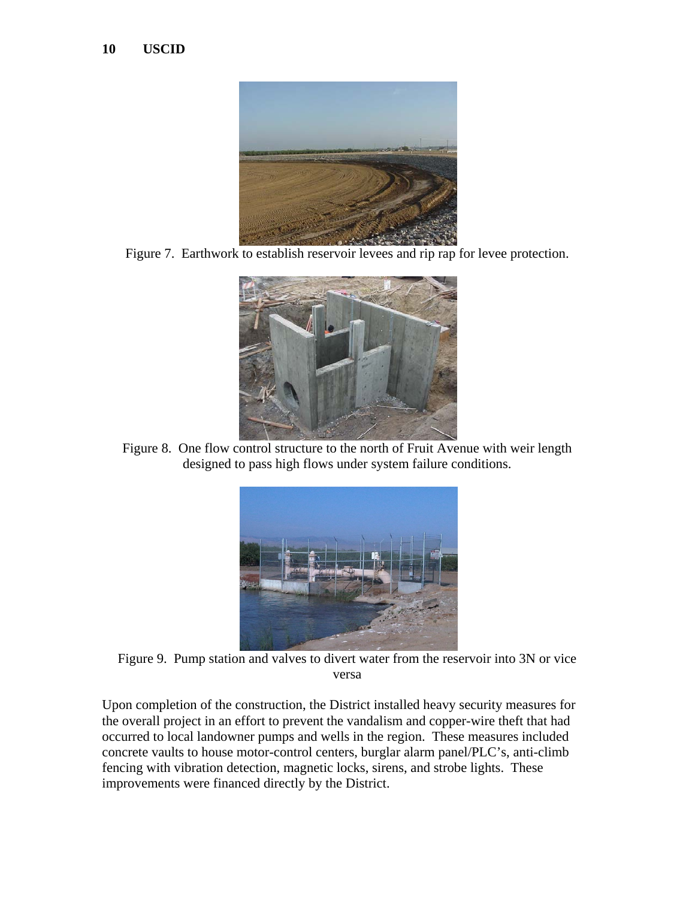

Figure 7. Earthwork to establish reservoir levees and rip rap for levee protection.



Figure 8. One flow control structure to the north of Fruit Avenue with weir length designed to pass high flows under system failure conditions.



Figure 9. Pump station and valves to divert water from the reservoir into 3N or vice versa

Upon completion of the construction, the District installed heavy security measures for the overall project in an effort to prevent the vandalism and copper-wire theft that had occurred to local landowner pumps and wells in the region. These measures included concrete vaults to house motor-control centers, burglar alarm panel/PLC's, anti-climb fencing with vibration detection, magnetic locks, sirens, and strobe lights. These improvements were financed directly by the District.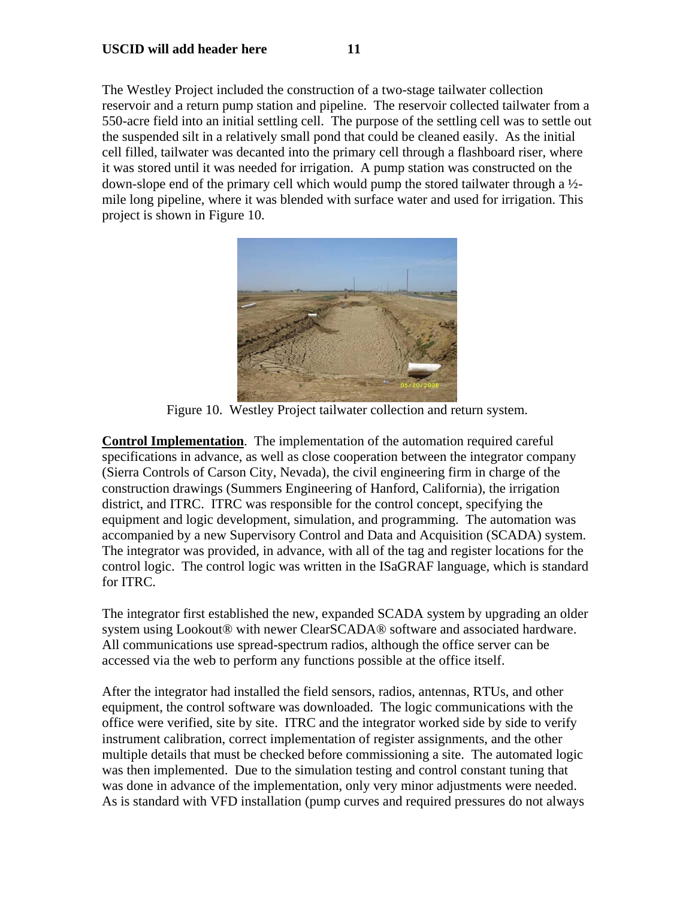The Westley Project included the construction of a two-stage tailwater collection reservoir and a return pump station and pipeline. The reservoir collected tailwater from a

550-acre field into an initial settling cell. The purpose of the settling cell was to settle out the suspended silt in a relatively small pond that could be cleaned easily. As the initial cell filled, tailwater was decanted into the primary cell through a flashboard riser, where it was stored until it was needed for irrigation. A pump station was constructed on the down-slope end of the primary cell which would pump the stored tailwater through a ½ mile long pipeline, where it was blended with surface water and used for irrigation. This project is shown in Figure 10.



Figure 10. Westley Project tailwater collection and return system.

**Control Implementation**. The implementation of the automation required careful specifications in advance, as well as close cooperation between the integrator company (Sierra Controls of Carson City, Nevada), the civil engineering firm in charge of the construction drawings (Summers Engineering of Hanford, California), the irrigation district, and ITRC. ITRC was responsible for the control concept, specifying the equipment and logic development, simulation, and programming. The automation was accompanied by a new Supervisory Control and Data and Acquisition (SCADA) system. The integrator was provided, in advance, with all of the tag and register locations for the control logic. The control logic was written in the ISaGRAF language, which is standard for ITRC.

The integrator first established the new, expanded SCADA system by upgrading an older system using Lookout® with newer ClearSCADA® software and associated hardware. All communications use spread-spectrum radios, although the office server can be accessed via the web to perform any functions possible at the office itself.

After the integrator had installed the field sensors, radios, antennas, RTUs, and other equipment, the control software was downloaded. The logic communications with the office were verified, site by site. ITRC and the integrator worked side by side to verify instrument calibration, correct implementation of register assignments, and the other multiple details that must be checked before commissioning a site. The automated logic was then implemented. Due to the simulation testing and control constant tuning that was done in advance of the implementation, only very minor adjustments were needed. As is standard with VFD installation (pump curves and required pressures do not always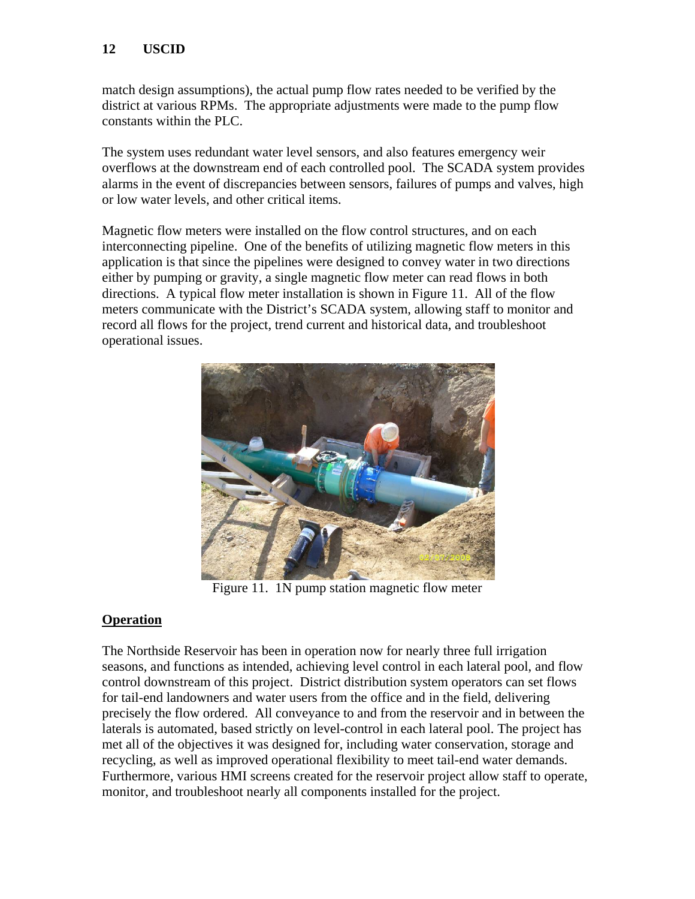## **12 USCID**

match design assumptions), the actual pump flow rates needed to be verified by the district at various RPMs. The appropriate adjustments were made to the pump flow constants within the PLC.

The system uses redundant water level sensors, and also features emergency weir overflows at the downstream end of each controlled pool. The SCADA system provides alarms in the event of discrepancies between sensors, failures of pumps and valves, high or low water levels, and other critical items.

Magnetic flow meters were installed on the flow control structures, and on each interconnecting pipeline. One of the benefits of utilizing magnetic flow meters in this application is that since the pipelines were designed to convey water in two directions either by pumping or gravity, a single magnetic flow meter can read flows in both directions. A typical flow meter installation is shown in Figure 11. All of the flow meters communicate with the District's SCADA system, allowing staff to monitor and record all flows for the project, trend current and historical data, and troubleshoot operational issues.



Figure 11. 1N pump station magnetic flow meter

### **Operation**

The Northside Reservoir has been in operation now for nearly three full irrigation seasons, and functions as intended, achieving level control in each lateral pool, and flow control downstream of this project. District distribution system operators can set flows for tail-end landowners and water users from the office and in the field, delivering precisely the flow ordered. All conveyance to and from the reservoir and in between the laterals is automated, based strictly on level-control in each lateral pool. The project has met all of the objectives it was designed for, including water conservation, storage and recycling, as well as improved operational flexibility to meet tail-end water demands. Furthermore, various HMI screens created for the reservoir project allow staff to operate, monitor, and troubleshoot nearly all components installed for the project.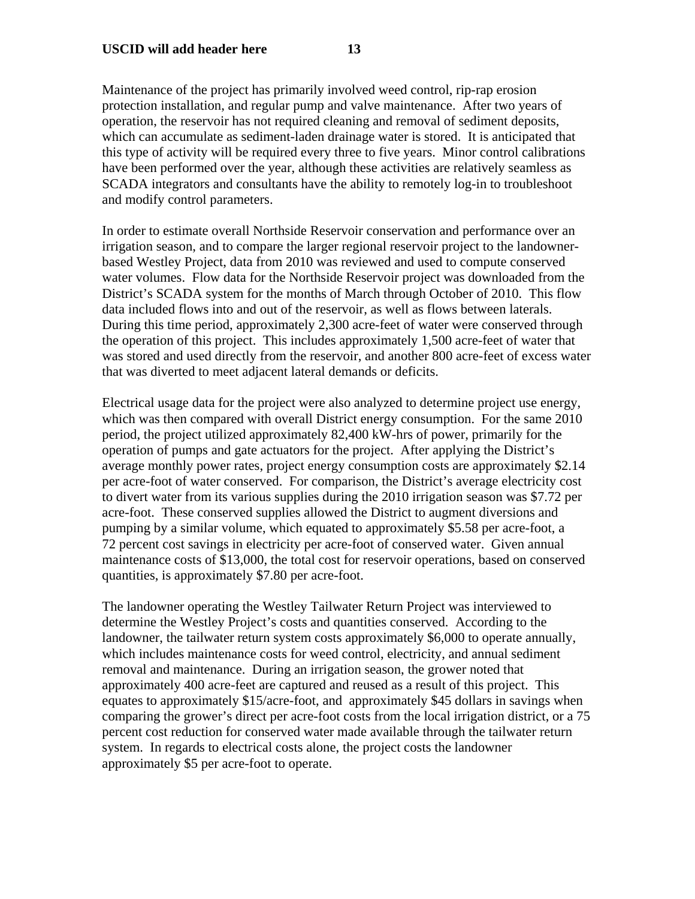Maintenance of the project has primarily involved weed control, rip-rap erosion protection installation, and regular pump and valve maintenance. After two years of operation, the reservoir has not required cleaning and removal of sediment deposits, which can accumulate as sediment-laden drainage water is stored. It is anticipated that this type of activity will be required every three to five years. Minor control calibrations have been performed over the year, although these activities are relatively seamless as SCADA integrators and consultants have the ability to remotely log-in to troubleshoot and modify control parameters.

In order to estimate overall Northside Reservoir conservation and performance over an irrigation season, and to compare the larger regional reservoir project to the landownerbased Westley Project, data from 2010 was reviewed and used to compute conserved water volumes. Flow data for the Northside Reservoir project was downloaded from the District's SCADA system for the months of March through October of 2010. This flow data included flows into and out of the reservoir, as well as flows between laterals. During this time period, approximately 2,300 acre-feet of water were conserved through the operation of this project. This includes approximately 1,500 acre-feet of water that was stored and used directly from the reservoir, and another 800 acre-feet of excess water that was diverted to meet adjacent lateral demands or deficits.

Electrical usage data for the project were also analyzed to determine project use energy, which was then compared with overall District energy consumption. For the same 2010 period, the project utilized approximately 82,400 kW-hrs of power, primarily for the operation of pumps and gate actuators for the project. After applying the District's average monthly power rates, project energy consumption costs are approximately \$2.14 per acre-foot of water conserved. For comparison, the District's average electricity cost to divert water from its various supplies during the 2010 irrigation season was \$7.72 per acre-foot. These conserved supplies allowed the District to augment diversions and pumping by a similar volume, which equated to approximately \$5.58 per acre-foot, a 72 percent cost savings in electricity per acre-foot of conserved water. Given annual maintenance costs of \$13,000, the total cost for reservoir operations, based on conserved quantities, is approximately \$7.80 per acre-foot.

The landowner operating the Westley Tailwater Return Project was interviewed to determine the Westley Project's costs and quantities conserved. According to the landowner, the tailwater return system costs approximately \$6,000 to operate annually, which includes maintenance costs for weed control, electricity, and annual sediment removal and maintenance. During an irrigation season, the grower noted that approximately 400 acre-feet are captured and reused as a result of this project. This equates to approximately \$15/acre-foot, and approximately \$45 dollars in savings when comparing the grower's direct per acre-foot costs from the local irrigation district, or a 75 percent cost reduction for conserved water made available through the tailwater return system. In regards to electrical costs alone, the project costs the landowner approximately \$5 per acre-foot to operate.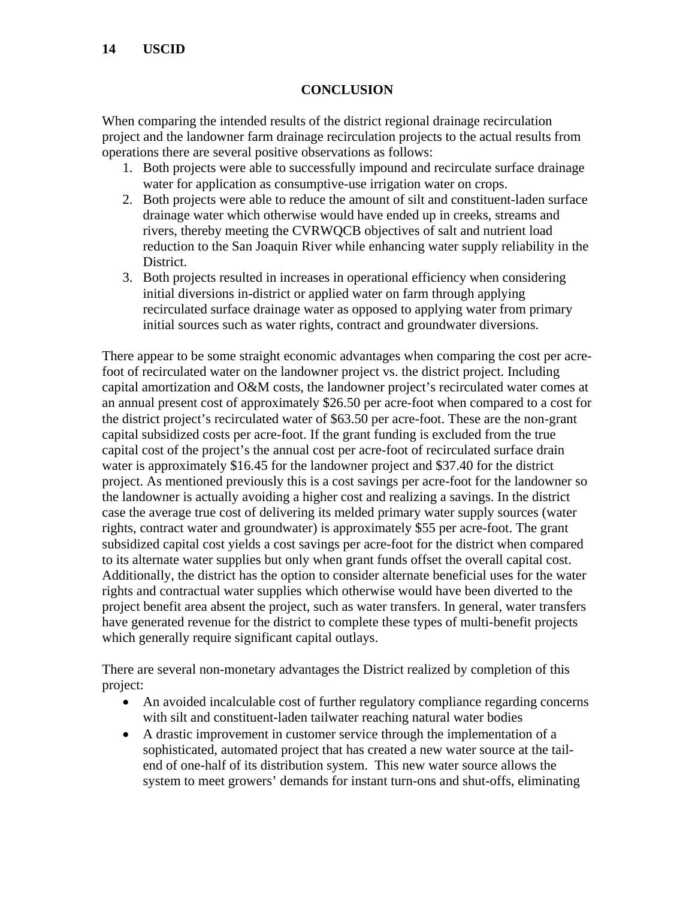### **CONCLUSION**

When comparing the intended results of the district regional drainage recirculation project and the landowner farm drainage recirculation projects to the actual results from operations there are several positive observations as follows:

- 1. Both projects were able to successfully impound and recirculate surface drainage water for application as consumptive-use irrigation water on crops.
- 2. Both projects were able to reduce the amount of silt and constituent-laden surface drainage water which otherwise would have ended up in creeks, streams and rivers, thereby meeting the CVRWQCB objectives of salt and nutrient load reduction to the San Joaquin River while enhancing water supply reliability in the District.
- 3. Both projects resulted in increases in operational efficiency when considering initial diversions in-district or applied water on farm through applying recirculated surface drainage water as opposed to applying water from primary initial sources such as water rights, contract and groundwater diversions.

There appear to be some straight economic advantages when comparing the cost per acrefoot of recirculated water on the landowner project vs. the district project. Including capital amortization and O&M costs, the landowner project's recirculated water comes at an annual present cost of approximately \$26.50 per acre-foot when compared to a cost for the district project's recirculated water of \$63.50 per acre-foot. These are the non-grant capital subsidized costs per acre-foot. If the grant funding is excluded from the true capital cost of the project's the annual cost per acre-foot of recirculated surface drain water is approximately \$16.45 for the landowner project and \$37.40 for the district project. As mentioned previously this is a cost savings per acre-foot for the landowner so the landowner is actually avoiding a higher cost and realizing a savings. In the district case the average true cost of delivering its melded primary water supply sources (water rights, contract water and groundwater) is approximately \$55 per acre-foot. The grant subsidized capital cost yields a cost savings per acre-foot for the district when compared to its alternate water supplies but only when grant funds offset the overall capital cost. Additionally, the district has the option to consider alternate beneficial uses for the water rights and contractual water supplies which otherwise would have been diverted to the project benefit area absent the project, such as water transfers. In general, water transfers have generated revenue for the district to complete these types of multi-benefit projects which generally require significant capital outlays.

There are several non-monetary advantages the District realized by completion of this project:

- An avoided incalculable cost of further regulatory compliance regarding concerns with silt and constituent-laden tailwater reaching natural water bodies
- A drastic improvement in customer service through the implementation of a sophisticated, automated project that has created a new water source at the tailend of one-half of its distribution system. This new water source allows the system to meet growers' demands for instant turn-ons and shut-offs, eliminating